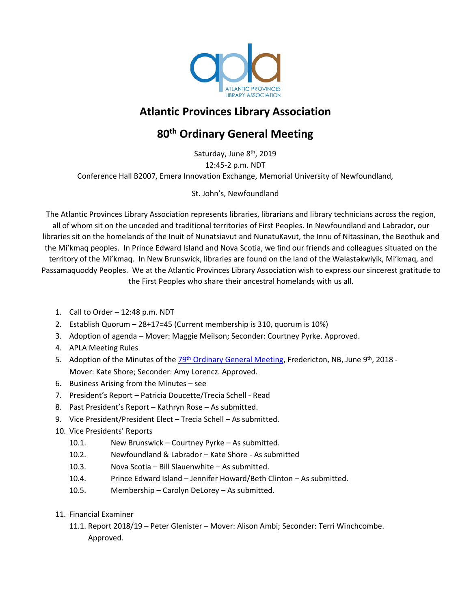

# **Atlantic Provinces Library Association**

# **80th Ordinary General Meeting**

Saturday, June 8<sup>th</sup>, 2019 12:45-2 p.m. NDT Conference Hall B2007, Emera Innovation Exchange, Memorial University of Newfoundland,

St. John's, Newfoundland

The Atlantic Provinces Library Association represents libraries, librarians and library technicians across the region, all of whom sit on the unceded and traditional territories of First Peoples. In Newfoundland and Labrador, our libraries sit on the homelands of the Inuit of Nunatsiavut and NunatuKavut, the Innu of Nitassinan, the Beothuk and the Mi'kmaq peoples. In Prince Edward Island and Nova Scotia, we find our friends and colleagues situated on the territory of the Mi'kmaq. In New Brunswick, libraries are found on the land of the Wəlastəkwiyik, Mi'kmaq, and Passamaquoddy Peoples. We at the Atlantic Provinces Library Association wish to express our sincerest gratitude to the First Peoples who share their ancestral homelands with us all.

- 1. Call to Order 12:48 p.m. NDT
- 2. Establish Quorum 28+17=45 (Current membership is 310, quorum is 10%)
- 3. Adoption of agenda Mover: Maggie Meilson; Seconder: Courtney Pyrke. Approved.
- 4. APLA Meeting Rules
- 5. Adoption of the Minutes of the 29<sup>th</sup> Ordinary General Meeting, Fredericton, NB, June 9<sup>th</sup>, 2018 -Mover: Kate Shore; Seconder: Amy Lorencz. Approved.
- 6. Business Arising from the Minutes see
- 7. President's Report Patricia Doucette/Trecia Schell Read
- 8. Past President's Report Kathryn Rose As submitted.
- 9. Vice President/President Elect Trecia Schell As submitted.
- 10. Vice Presidents' Reports
	- 10.1. New Brunswick Courtney Pyrke As submitted.
	- 10.2. Newfoundland & Labrador Kate Shore As submitted
	- 10.3. Nova Scotia Bill Slauenwhite As submitted.
	- 10.4. Prince Edward Island Jennifer Howard/Beth Clinton As submitted.
	- 10.5. Membership Carolyn DeLorey As submitted.
- 11. Financial Examiner
	- 11.1. Report 2018/19 Peter Glenister Mover: Alison Ambi; Seconder: Terri Winchcombe. Approved.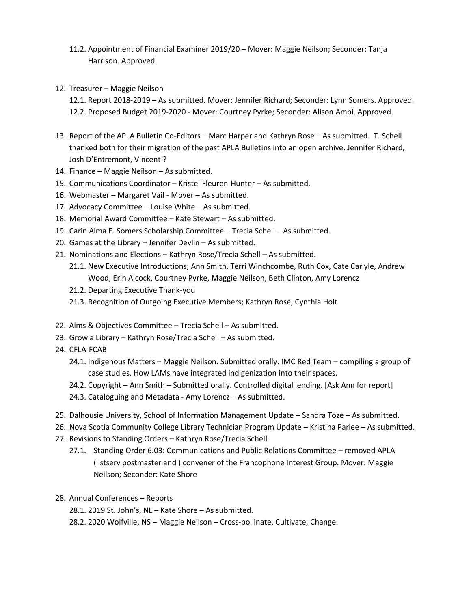- 11.2. Appointment of Financial Examiner 2019/20 Mover: Maggie Neilson; Seconder: Tanja Harrison. Approved.
- 12. Treasurer Maggie Neilson
	- 12.1. Report 2018-2019 As submitted. Mover: Jennifer Richard; Seconder: Lynn Somers. Approved. 12.2. Proposed Budget 2019-2020 - Mover: Courtney Pyrke; Seconder: Alison Ambi. Approved.
- 13. Report of the APLA Bulletin Co-Editors Marc Harper and Kathryn Rose As submitted. T. Schell thanked both for their migration of the past APLA Bulletins into an open archive. Jennifer Richard, Josh D'Entremont, Vincent ?
- 14. Finance Maggie Neilson As submitted.
- 15. Communications Coordinator Kristel Fleuren-Hunter As submitted.
- 16. Webmaster Margaret Vail Mover As submitted.
- 17. Advocacy Committee Louise White As submitted.
- 18. Memorial Award Committee Kate Stewart As submitted.
- 19. Carin Alma E. Somers Scholarship Committee Trecia Schell As submitted.
- 20. Games at the Library Jennifer Devlin As submitted.
- 21. Nominations and Elections Kathryn Rose/Trecia Schell As submitted.
	- 21.1. New Executive Introductions; Ann Smith, Terri Winchcombe, Ruth Cox, Cate Carlyle, Andrew Wood, Erin Alcock, Courtney Pyrke, Maggie Neilson, Beth Clinton, Amy Lorencz
	- 21.2. Departing Executive Thank-you
	- 21.3. Recognition of Outgoing Executive Members; Kathryn Rose, Cynthia Holt
- 22. Aims & Objectives Committee Trecia Schell As submitted.
- 23. Grow a Library Kathryn Rose/Trecia Schell As submitted.
- 24. CFLA-FCAB
	- 24.1. Indigenous Matters Maggie Neilson. Submitted orally. IMC Red Team compiling a group of case studies. How LAMs have integrated indigenization into their spaces.
	- 24.2. Copyright Ann Smith Submitted orally. Controlled digital lending. [Ask Ann for report]
	- 24.3. Cataloguing and Metadata Amy Lorencz As submitted.
- 25. Dalhousie University, School of Information Management Update Sandra Toze As submitted.
- 26. Nova Scotia Community College Library Technician Program Update Kristina Parlee As submitted.
- 27. Revisions to Standing Orders Kathryn Rose/Trecia Schell
	- 27.1. Standing Order 6.03: Communications and Public Relations Committee removed APLA (listserv postmaster and ) convener of the Francophone Interest Group. Mover: Maggie Neilson; Seconder: Kate Shore
- 28. Annual Conferences Reports
	- 28.1. 2019 St. John's, NL Kate Shore As submitted.
	- 28.2. 2020 Wolfville, NS Maggie Neilson Cross-pollinate, Cultivate, Change.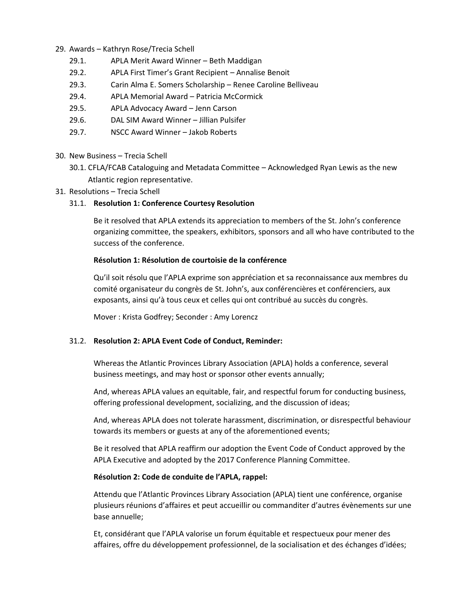- 29. Awards Kathryn Rose/Trecia Schell
	- 29.1. APLA Merit Award Winner Beth Maddigan
	- 29.2. APLA First Timer's Grant Recipient Annalise Benoit
	- 29.3. Carin Alma E. Somers Scholarship Renee Caroline Belliveau
	- 29.4. APLA Memorial Award Patricia McCormick
	- 29.5. APLA Advocacy Award Jenn Carson
	- 29.6. DAL SIM Award Winner Jillian Pulsifer
	- 29.7. NSCC Award Winner Jakob Roberts
- 30. New Business Trecia Schell
	- 30.1. CFLA/FCAB Cataloguing and Metadata Committee Acknowledged Ryan Lewis as the new Atlantic region representative.
- 31. Resolutions Trecia Schell

## 31.1. **Resolution 1: Conference Courtesy Resolution**

Be it resolved that APLA extends its appreciation to members of the St. John's conference organizing committee, the speakers, exhibitors, sponsors and all who have contributed to the success of the conference.

#### **Résolution 1: Résolution de courtoisie de la conférence**

Qu'il soit résolu que l'APLA exprime son appréciation et sa reconnaissance aux membres du comité organisateur du congrès de St. John's, aux conférencières et conférenciers, aux exposants, ainsi qu'à tous ceux et celles qui ont contribué au succès du congrès.

Mover : Krista Godfrey; Seconder : Amy Lorencz

## 31.2. **Resolution 2: APLA Event Code of Conduct, Reminder:**

Whereas the Atlantic Provinces Library Association (APLA) holds a conference, several business meetings, and may host or sponsor other events annually;

And, whereas APLA values an equitable, fair, and respectful forum for conducting business, offering professional development, socializing, and the discussion of ideas;

And, whereas APLA does not tolerate harassment, discrimination, or disrespectful behaviour towards its members or guests at any of the aforementioned events;

Be it resolved that APLA reaffirm our adoption the Event Code of Conduct approved by the APLA Executive and adopted by the 2017 Conference Planning Committee.

#### **Résolution 2: Code de conduite de l'APLA, rappel:**

Attendu que l'Atlantic Provinces Library Association (APLA) tient une conférence, organise plusieurs réunions d'affaires et peut accueillir ou commanditer d'autres évènements sur une base annuelle;

Et, considérant que l'APLA valorise un forum équitable et respectueux pour mener des affaires, offre du développement professionnel, de la socialisation et des échanges d'idées;